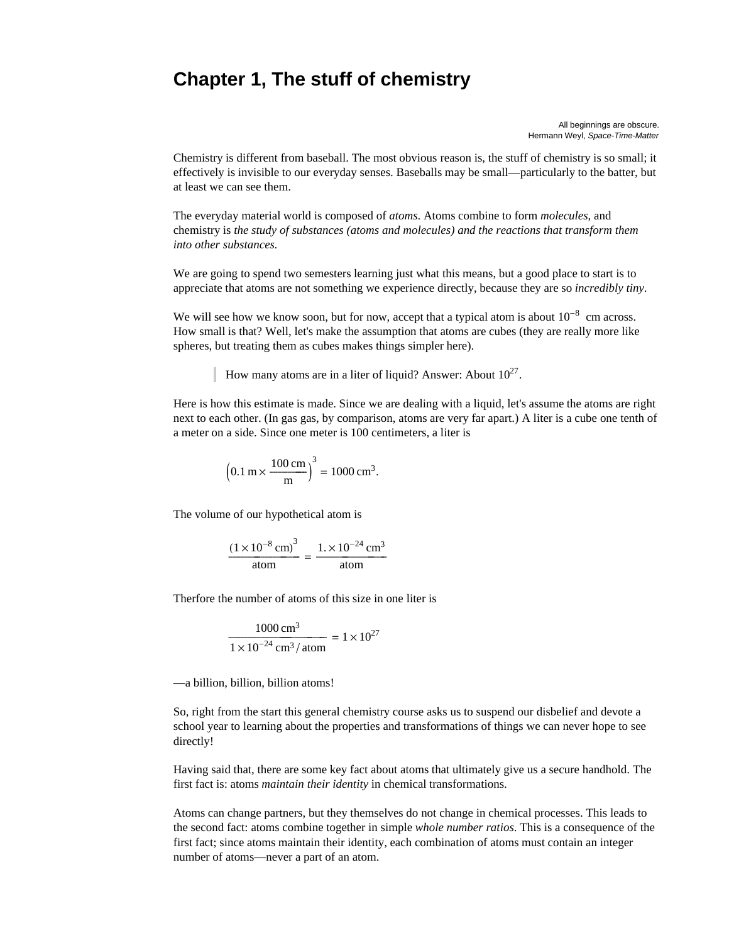# **Chapter 1, The stuff of chemistry**

All beginnings are obscure. Hermann Weyl, *Space-Time-Matter*

Chemistry is different from baseball. The most obvious reason is, the stuff of chemistry is so small; it effectively is invisible to our everyday senses. Baseballs may be small—particularly to the batter, but at least we can see them.

The everyday material world is composed of *atoms*. Atoms combine to form *molecules*, and chemistry is *the study of substances (atoms and molecules) and the reactions that transform them into other substances.*

We are going to spend two semesters learning just what this means, but a good place to start is to appreciate that atoms are not something we experience directly, because they are so *incredibly tiny*.

We will see how we know soon, but for now, accept that a typical atom is about  $10^{-8}$  cm across. How small is that? Well, let's make the assumption that atoms are cubes (they are really more like spheres, but treating them as cubes makes things simpler here).

How many atoms are in a liter of liquid? Answer: About  $10^{27}$ .

Here is how this estimate is made. Since we are dealing with a liquid, let's assume the atoms are right next to each other. (In gas gas, by comparison, atoms are very far apart.) A liter is a cube one tenth of a meter on a side. Since one meter is 100 centimeters, a liter is

$$
\left(0.1 \text{ m} \times \frac{100 \text{ cm}}{\text{m}}\right)^3 = 1000 \text{ cm}^3.
$$

The volume of our hypothetical atom is

$$
\frac{(1 \times 10^{-8} \text{ cm})^3}{\text{atom}} = \frac{1. \times 10^{-24} \text{ cm}^3}{\text{atom}}
$$

Therfore the number of atoms of this size in one liter is

$$
\frac{1000 \text{ cm}^3}{1 \times 10^{-24} \text{ cm}^3/\text{atom}} = 1 \times 10^{27}
$$

—a billion, billion, billion atoms!

So, right from the start this general chemistry course asks us to suspend our disbelief and devote a school year to learning about the properties and transformations of things we can never hope to see directly!

Having said that, there are some key fact about atoms that ultimately give us a secure handhold. The first fact is: atoms *maintain their identity* in chemical transformations.

Atoms can change partners, but they themselves do not change in chemical processes. This leads to the second fact: atoms combine together in simple *whole number ratios*. This is a consequence of the first fact; since atoms maintain their identity, each combination of atoms must contain an integer number of atoms—never a part of an atom.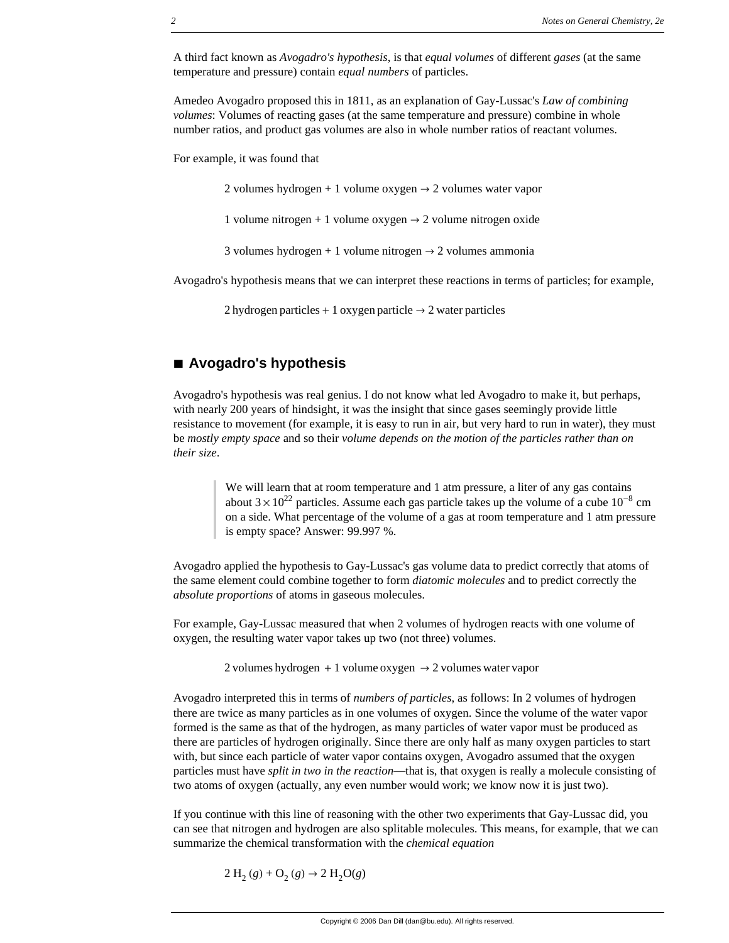A third fact known as *Avogadro's hypothesis*, is that *equal volumes* of different *gases* (at the same temperature and pressure) contain *equal numbers* of particles.

Amedeo Avogadro proposed this in 1811, as an explanation of Gay-Lussac's *Law of combining volumes*: Volumes of reacting gases (at the same temperature and pressure) combine in whole number ratios, and product gas volumes are also in whole number ratios of reactant volumes.

For example, it was found that

2 volumes hydrogen + 1 volume oxygen  $\rightarrow$  2 volumes water vapor

1 volume nitrogen + 1 volume oxygen  $\rightarrow$  2 volume nitrogen oxide

3 volumes hydrogen + 1 volume nitrogen  $\rightarrow$  2 volumes ammonia

Avogadro's hypothesis means that we can interpret these reactions in terms of particles; for example,

2 hydrogen particles + 1 oxygen particle  $\rightarrow$  2 water particles

# **à Avogadro's hypothesis**

Avogadro's hypothesis was real genius. I do not know what led Avogadro to make it, but perhaps, with nearly 200 years of hindsight, it was the insight that since gases seemingly provide little resistance to movement (for example, it is easy to run in air, but very hard to run in water), they must be *mostly empty space* and so their *volume depends on the motion of the particles rather than on their size*.

> We will learn that at room temperature and 1 atm pressure, a liter of any gas contains about  $3 \times 10^{22}$  particles. Assume each gas particle takes up the volume of a cube  $10^{-8}$  cm on a side. What percentage of the volume of a gas at room temperature and 1 atm pressure is empty space? Answer: 99.997 %.

Avogadro applied the hypothesis to Gay-Lussac's gas volume data to predict correctly that atoms of the same element could combine together to form *diatomic molecules* and to predict correctly the *absolute proportions* of atoms in gaseous molecules.

For example, Gay-Lussac measured that when 2 volumes of hydrogen reacts with one volume of oxygen, the resulting water vapor takes up two (not three) volumes.

2 volumes hydrogen + 1 volume oxygen  $\rightarrow$  2 volumes water vapor

Avogadro interpreted this in terms of *numbers of particles*, as follows: In 2 volumes of hydrogen there are twice as many particles as in one volumes of oxygen. Since the volume of the water vapor formed is the same as that of the hydrogen, as many particles of water vapor must be produced as there are particles of hydrogen originally. Since there are only half as many oxygen particles to start with, but since each particle of water vapor contains oxygen, Avogadro assumed that the oxygen particles must have *split in two in the reaction*—that is, that oxygen is really a molecule consisting of two atoms of oxygen (actually, any even number would work; we know now it is just two).

If you continue with this line of reasoning with the other two experiments that Gay-Lussac did, you can see that nitrogen and hydrogen are also splitable molecules. This means, for example, that we can summarize the chemical transformation with the *chemical equation*

 $2 H_2(g) + O_2(g) \rightarrow 2 H_2O(g)$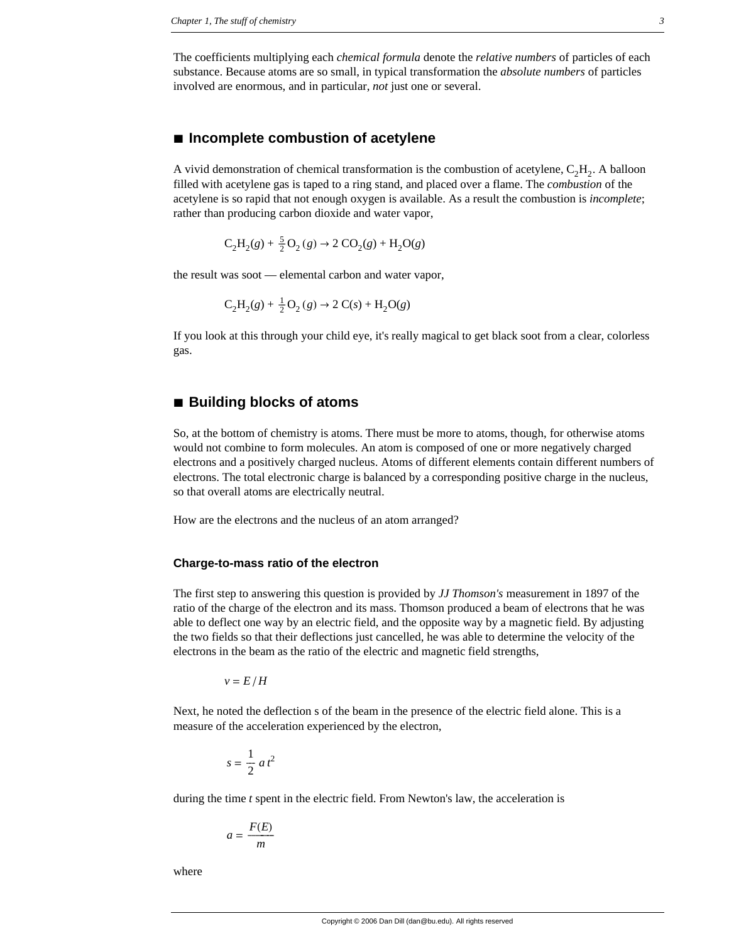The coefficients multiplying each *chemical formula* denote the *relative numbers* of particles of each substance. Because atoms are so small, in typical transformation the *absolute numbers* of particles involved are enormous, and in particular, *not* just one or several.

## **à Incomplete combustion of acetylene**

A vivid demonstration of chemical transformation is the combustion of acetylene,  $C_2H_2$ . A balloon filled with acetylene gas is taped to a ring stand, and placed over a flame. The *combustion* of the acetylene is so rapid that not enough oxygen is available. As a result the combustion is *incomplete*; rather than producing carbon dioxide and water vapor,

 $C_2H_2(g) + \frac{5}{2}O_2(g) \rightarrow 2 CO_2(g) + H_2O(g)$ 

the result was soot — elemental carbon and water vapor,

$$
C_2H_2(g) + \frac{1}{2}O_2(g) \rightarrow 2 C(s) + H_2O(g)
$$

If you look at this through your child eye, it's really magical to get black soot from a clear, colorless gas.

## **à Building blocks of atoms**

So, at the bottom of chemistry is atoms. There must be more to atoms, though, for otherwise atoms would not combine to form molecules. An atom is composed of one or more negatively charged electrons and a positively charged nucleus. Atoms of different elements contain different numbers of electrons. The total electronic charge is balanced by a corresponding positive charge in the nucleus, so that overall atoms are electrically neutral.

How are the electrons and the nucleus of an atom arranged?

#### **Charge-to-mass ratio of the electron**

The first step to answering this question is provided by *JJ Thomson's* measurement in 1897 of the ratio of the charge of the electron and its mass. Thomson produced a beam of electrons that he was able to deflect one way by an electric field, and the opposite way by a magnetic field. By adjusting the two fields so that their deflections just cancelled, he was able to determine the velocity of the electrons in the beam as the ratio of the electric and magnetic field strengths,

 $v = E/H$ 

Next, he noted the deflection s of the beam in the presence of the electric field alone. This is a measure of the acceleration experienced by the electron,

$$
s = \frac{1}{2} a t^2
$$

during the time *t* spent in the electric field. From Newton's law, the acceleration is

$$
a = \frac{F(E)}{m}
$$

where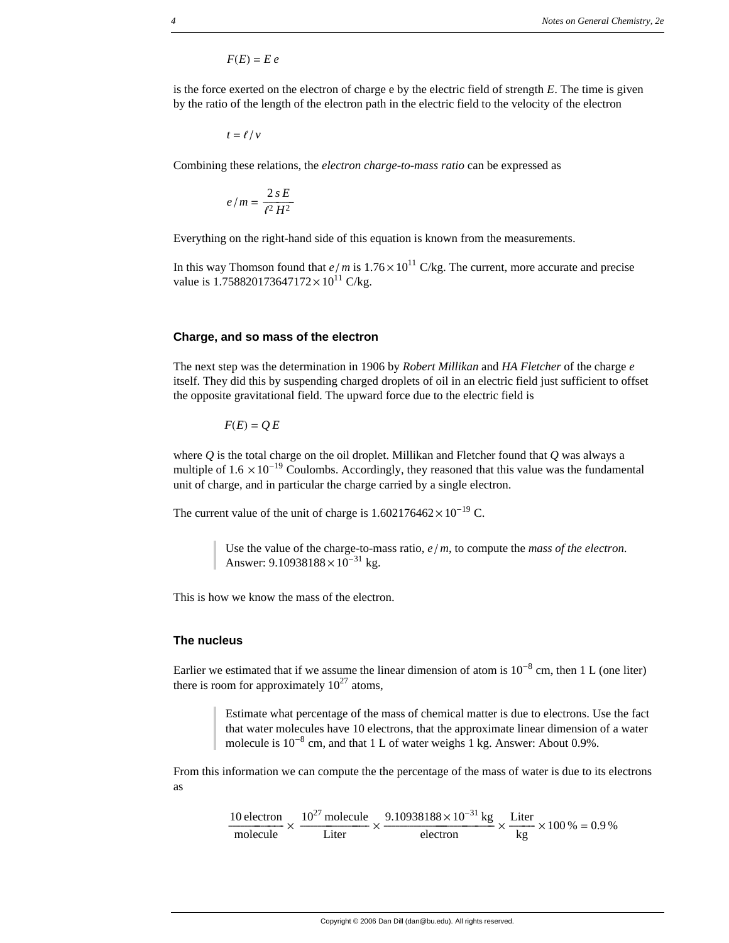$F(E) = E e$ 

is the force exerted on the electron of charge e by the electric field of strength *E*. The time is given by the ratio of the length of the electron path in the electric field to the velocity of the electron

$$
t = \ell / \nu
$$

Combining these relations, the *electron charge-to-mass ratio* can be expressed as

$$
e/m=\frac{2\,s\,E}{\ell^2\,H^2}
$$

Everything on the right-hand side of this equation is known from the measurements.

In this way Thomson found that  $e/m$  is  $1.76 \times 10^{11}$  C/kg. The current, more accurate and precise value is 1.758820173647172 $\times 10^{11}$  C/kg.

#### **Charge, and so mass of the electron**

The next step was the determination in 1906 by *Robert Millikan* and *HA Fletcher* of the charge *e* itself. They did this by suspending charged droplets of oil in an electric field just sufficient to offset the opposite gravitational field. The upward force due to the electric field is

 $F(E) = Q E$ 

where *Q* is the total charge on the oil droplet. Millikan and Fletcher found that *Q* was always a multiple of  $1.6 \times 10^{-19}$  Coulombs. Accordingly, they reasoned that this value was the fundamental unit of charge, and in particular the charge carried by a single electron.

The current value of the unit of charge is  $1.602176462 \times 10^{-19}$  C.

Use the value of the charge-to-mass ratio,  $e/m$ , to compute the *mass of the electron*. Answer:  $9.10938188 \times 10^{-31}$  kg.

This is how we know the mass of the electron.

#### **The nucleus**

Earlier we estimated that if we assume the linear dimension of atom is  $10^{-8}$  cm, then 1 L (one liter) there is room for approximately  $10^{27}$  atoms,

> Estimate what percentage of the mass of chemical matter is due to electrons. Use the fact that water molecules have 10 electrons, that the approximate linear dimension of a water molecule is  $10^{-8}$  cm, and that 1 L of water weighs 1 kg. Answer: About 0.9%.

From this information we can compute the the percentage of the mass of water is due to its electrons as

$$
\frac{10 \text{ electron}}{\text{molecule}} \times \frac{10^{27} \text{molecule}}{\text{Liter}} \times \frac{9.10938188 \times 10^{-31} \text{ kg}}{\text{electron}} \times \frac{\text{Liter}}{\text{kg}} \times 100\% = 0.9\%
$$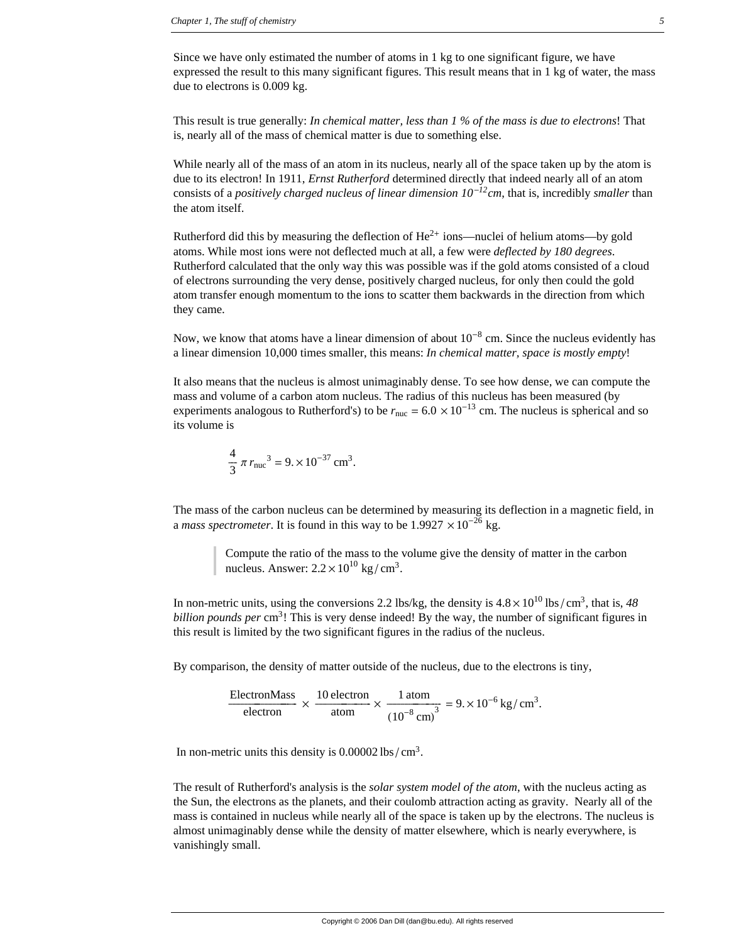Since we have only estimated the number of atoms in 1 kg to one significant figure, we have expressed the result to this many significant figures. This result means that in 1 kg of water, the mass due to electrons is 0.009 kg.

This result is true generally: *In chemical matter, less than 1 % of the mass is due to electrons*! That is, nearly all of the mass of chemical matter is due to something else.

While nearly all of the mass of an atom in its nucleus, nearly all of the space taken up by the atom is due to its electron! In 1911, *Ernst Rutherford* determined directly that indeed nearly all of an atom consists of a *positively charged nucleus of linear dimension 10*-*12cm*, that is, incredibly *smaller* than the atom itself.

Rutherford did this by measuring the deflection of  $He^{2+}$  ions—nuclei of helium atoms—by gold atoms. While most ions were not deflected much at all, a few were *deflected by 180 degrees*. Rutherford calculated that the only way this was possible was if the gold atoms consisted of a cloud of electrons surrounding the very dense, positively charged nucleus, for only then could the gold atom transfer enough momentum to the ions to scatter them backwards in the direction from which they came.

Now, we know that atoms have a linear dimension of about  $10^{-8}$  cm. Since the nucleus evidently has a linear dimension 10,000 times smaller, this means: *In chemical matter, space is mostly empty*!

It also means that the nucleus is almost unimaginably dense. To see how dense, we can compute the mass and volume of a carbon atom nucleus. The radius of this nucleus has been measured (by experiments analogous to Rutherford's) to be  $r_{\text{nuc}} = 6.0 \times 10^{-13}$  cm. The nucleus is spherical and so its volume is

$$
\frac{4}{3} \pi r_{\text{nuc}}^3 = 9. \times 10^{-37} \text{ cm}^3.
$$

The mass of the carbon nucleus can be determined by measuring its deflection in a magnetic field, in a *mass spectrometer*. It is found in this way to be  $1.9927 \times 10^{-26}$  kg.

Compute the ratio of the mass to the volume give the density of matter in the carbon nucleus. Answer:  $2.2 \times 10^{10}$  kg/cm<sup>3</sup>.

In non-metric units, using the conversions 2.2 lbs/kg, the density is  $4.8 \times 10^{10}$  lbs/cm<sup>3</sup>, that is,  $48$ *billion pounds per* cm<sup>3</sup>! This is very dense indeed! By the way, the number of significant figures in this result is limited by the two significant figures in the radius of the nucleus.

By comparison, the density of matter outside of the nucleus, due to the electrons is tiny,

$$
\frac{\text{ElectronMass}}{\text{electron}} \times \frac{10 \text{ electron}}{\text{atom}} \times \frac{1 \text{ atom}}{\left(10^{-8} \text{ cm}\right)^3} = 9. \times 10^{-6} \text{ kg/cm}^3.
$$

In non-metric units this density is  $0.00002 \text{ lbs}/\text{cm}^3$ .

The result of Rutherford's analysis is the *solar system model of the atom*, with the nucleus acting as the Sun, the electrons as the planets, and their coulomb attraction acting as gravity. Nearly all of the mass is contained in nucleus while nearly all of the space is taken up by the electrons. The nucleus is almost unimaginably dense while the density of matter elsewhere, which is nearly everywhere, is vanishingly small.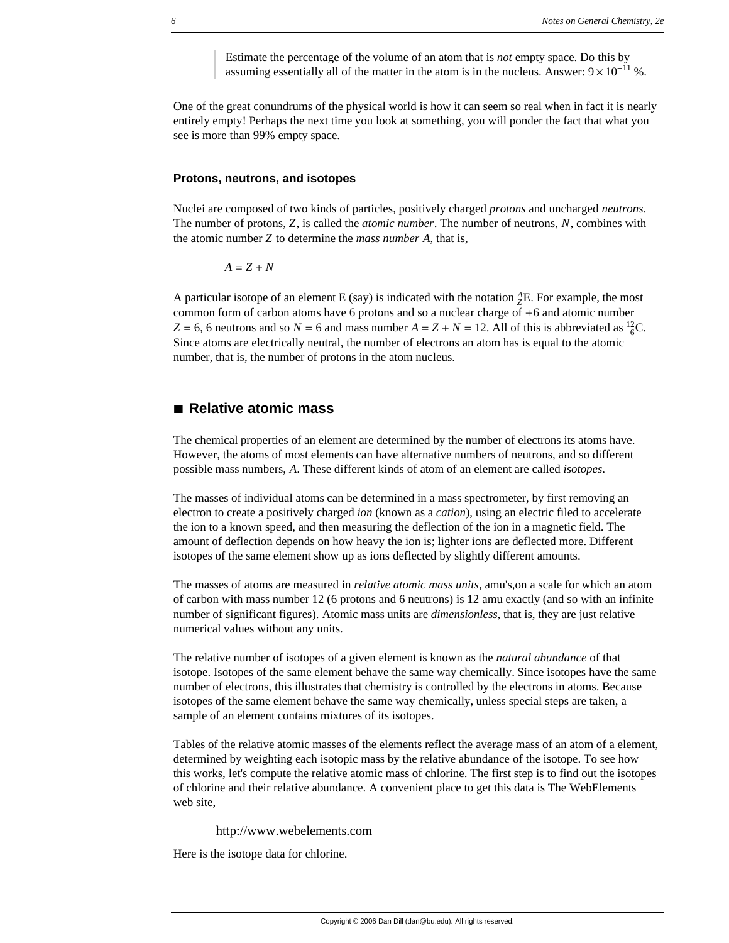Estimate the percentage of the volume of an atom that is *not* empty space. Do this by assuming essentially all of the matter in the atom is in the nucleus. Answer:  $9 \times 10^{-11}$  %.

One of the great conundrums of the physical world is how it can seem so real when in fact it is nearly entirely empty! Perhaps the next time you look at something, you will ponder the fact that what you see is more than 99% empty space.

#### **Protons, neutrons, and isotopes**

Nuclei are composed of two kinds of particles, positively charged *protons* and uncharged *neutrons*. The number of protons, *Z*, is called the *atomic number*. The number of neutrons, *N*, combines with the atomic number *Z* to determine the *mass number A*, that is,

 $A = Z + N$ 

A particular isotope of an element E (say) is indicated with the notation  ${}_{Z}^{A}E$ . For example, the most common form of carbon atoms have 6 protons and so a nuclear charge of +6 and atomic number  $Z = 6$ , 6 neutrons and so  $N = 6$  and mass number  $A = Z + N = 12$ . All of this is abbreviated as <sup>12</sup><sub>6</sub>C. Since atoms are electrically neutral, the number of electrons an atom has is equal to the atomic number, that is, the number of protons in the atom nucleus.

# **à Relative atomic mass**

The chemical properties of an element are determined by the number of electrons its atoms have. However, the atoms of most elements can have alternative numbers of neutrons, and so different possible mass numbers, *A*. These different kinds of atom of an element are called *isotopes*.

The masses of individual atoms can be determined in a mass spectrometer, by first removing an electron to create a positively charged *ion* (known as a *cation*), using an electric filed to accelerate the ion to a known speed, and then measuring the deflection of the ion in a magnetic field. The amount of deflection depends on how heavy the ion is; lighter ions are deflected more. Different isotopes of the same element show up as ions deflected by slightly different amounts.

The masses of atoms are measured in *relative atomic mass units*, amu's,on a scale for which an atom of carbon with mass number 12 (6 protons and 6 neutrons) is 12 amu exactly (and so with an infinite number of significant figures). Atomic mass units are *dimensionless*, that is, they are just relative numerical values without any units.

The relative number of isotopes of a given element is known as the *natural abundance* of that isotope. Isotopes of the same element behave the same way chemically. Since isotopes have the same number of electrons, this illustrates that chemistry is controlled by the electrons in atoms. Because isotopes of the same element behave the same way chemically, unless special steps are taken, a sample of an element contains mixtures of its isotopes.

Tables of the relative atomic masses of the elements reflect the average mass of an atom of a element, determined by weighting each isotopic mass by the relative abundance of the isotope. To see how this works, let's compute the relative atomic mass of chlorine. The first step is to find out the isotopes of chlorine and their relative abundance. A convenient place to get this data is The WebElements web site,

http://www.webelements.com

Here is the isotope data for chlorine.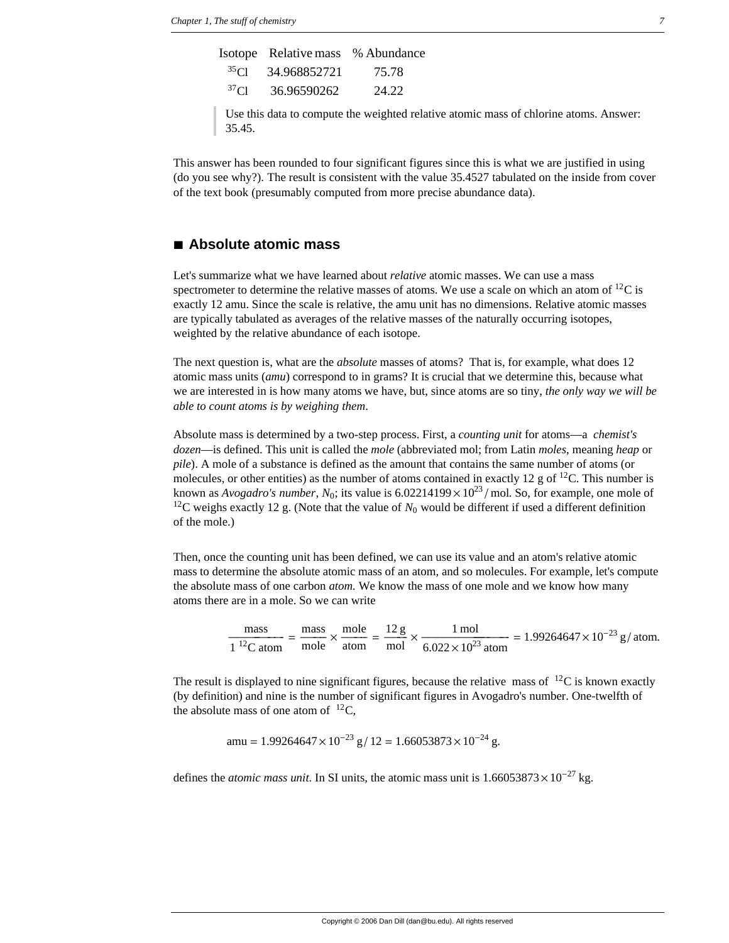|                  | Isotope Relative mass % Abundance |       |
|------------------|-----------------------------------|-------|
|                  | $^{35}$ Cl 34.968852721           | 75.78 |
| 37 <sub>Cl</sub> | 36.96590262                       | 24.22 |

Use this data to compute the weighted relative atomic mass of chlorine atoms. Answer: 35.45.

This answer has been rounded to four significant figures since this is what we are justified in using (do you see why?). The result is consistent with the value 35.4527 tabulated on the inside from cover of the text book (presumably computed from more precise abundance data).

# **à Absolute atomic mass**

Let's summarize what we have learned about *relative* atomic masses. We can use a mass spectrometer to determine the relative masses of atoms. We use a scale on which an atom of  $^{12}C$  is exactly 12 amu. Since the scale is relative, the amu unit has no dimensions. Relative atomic masses are typically tabulated as averages of the relative masses of the naturally occurring isotopes, weighted by the relative abundance of each isotope.

The next question is, what are the *absolute* masses of atoms? That is, for example, what does 12 atomic mass units (*amu*) correspond to in grams? It is crucial that we determine this, because what we are interested in is how many atoms we have, but, since atoms are so tiny, *the only way we will be able to count atoms is by weighing them*.

Absolute mass is determined by a two-step process. First, a *counting unit* for atoms—a *chemist's dozen*—is defined. This unit is called the *mole* (abbreviated mol; from Latin *moles*, meaning *heap* or *pile*). A mole of a substance is defined as the amount that contains the same number of atoms (or molecules, or other entities) as the number of atoms contained in exactly 12 g of  $^{12}C$ . This number is known as *Avogadro's number*,  $N_0$ ; its value is 6.02214199  $\times 10^{23}$  /mol. So, for example, one mole of <sup>12</sup>C weighs exactly 12 g. (Note that the value of  $N_0$  would be different if used a different definition of the mole.)

Then, once the counting unit has been defined, we can use its value and an atom's relative atomic mass to determine the absolute atomic mass of an atom, and so molecules. For example, let's compute the absolute mass of one carbon *atom.* We know the mass of one mole and we know how many atoms there are in a mole. So we can write

 $\frac{\text{mass}}{1^{12}\text{C atom}} = \frac{\text{mass}}{\text{mole}} \times \frac{\text{mole}}{\text{atom}} = \frac{12 \text{ g}}{\text{mol}} \times \frac{1 \text{ mol}}{6.022 \times 10^{23} \text{ atom}} = 1.99264647 \times 10^{-23} \text{ g/atom}.$ 

The result is displayed to nine significant figures, because the relative mass of  $^{12}C$  is known exactly (by definition) and nine is the number of significant figures in Avogadro's number. One-twelfth of the absolute mass of one atom of  $^{12}C$ .

amu = 
$$
1.99264647 \times 10^{-23} \text{ g} / 12 = 1.66053873 \times 10^{-24} \text{ g}.
$$

defines the *atomic mass unit*. In SI units, the atomic mass unit is  $1.66053873 \times 10^{-27}$  kg.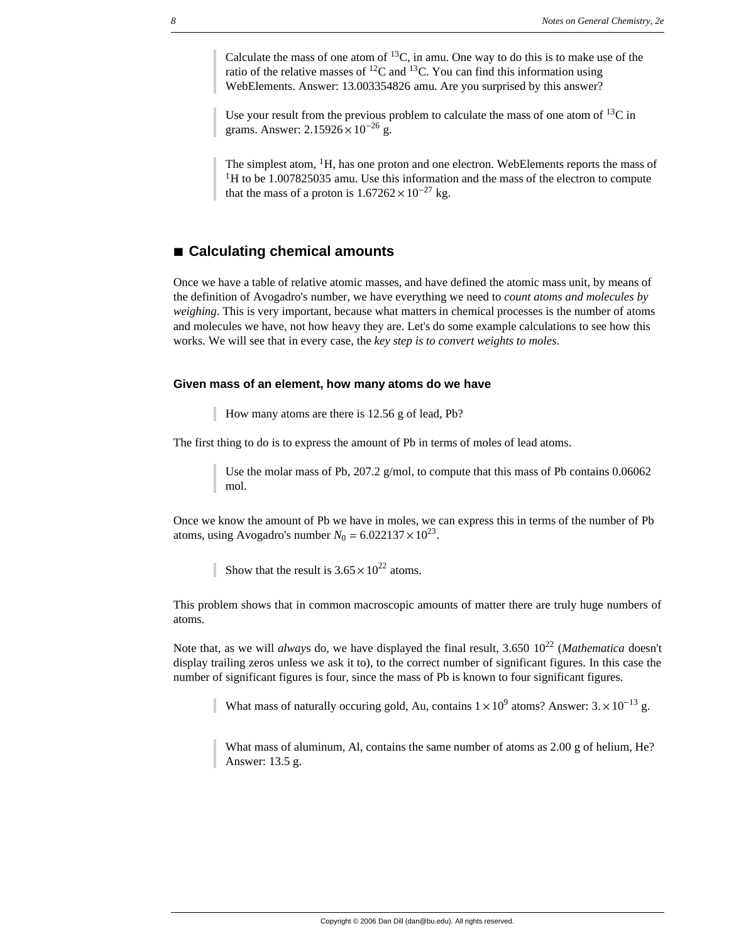Calculate the mass of one atom of  $^{13}$ C, in amu. One way to do this is to make use of the ratio of the relative masses of  ${}^{12}C$  and  ${}^{13}C$ . You can find this information using WebElements. Answer: 13.003354826 amu. Are you surprised by this answer?

Use your result from the previous problem to calculate the mass of one atom of  $^{13}C$  in grams. Answer:  $2.15926 \times 10^{-26}$  g.

The simplest atom,  ${}^{1}H$ , has one proton and one electron. WebElements reports the mass of  $1<sup>1</sup>H$  to be 1.007825035 amu. Use this information and the mass of the electron to compute that the mass of a proton is  $1.67262 \times 10^{-27}$  kg.

# ■ Calculating chemical amounts

Once we have a table of relative atomic masses, and have defined the atomic mass unit, by means of the definition of Avogadro's number, we have everything we need to *count atoms and molecules by weighing*. This is very important, because what matters in chemical processes is the number of atoms and molecules we have, not how heavy they are. Let's do some example calculations to see how this works. We will see that in every case, the *key step is to convert weights to moles*.

## **Given mass of an element, how many atoms do we have**

How many atoms are there is 12.56 g of lead, Pb?

The first thing to do is to express the amount of Pb in terms of moles of lead atoms.

Use the molar mass of Pb, 207.2  $g/mol$ , to compute that this mass of Pb contains 0.06062 mol.

Once we know the amount of Pb we have in moles, we can express this in terms of the number of Pb atoms, using Avogadro's number  $N_0 = 6.022137 \times 10^{23}$ .

Show that the result is  $3.65 \times 10^{22}$  atoms.

This problem shows that in common macroscopic amounts of matter there are truly huge numbers of atoms.

Note that, as we will *always* do, we have displayed the final result, 3.650 10<sup>22</sup> (*Mathematica* doesn't display trailing zeros unless we ask it to), to the correct number of significant figures. In this case the number of significant figures is four, since the mass of Pb is known to four significant figures.

What mass of naturally occuring gold, Au, contains  $1 \times 10^9$  atoms? Answer:  $3 \times 10^{-13}$  g.

What mass of aluminum, Al, contains the same number of atoms as 2.00 g of helium, He? Answer: 13.5 g.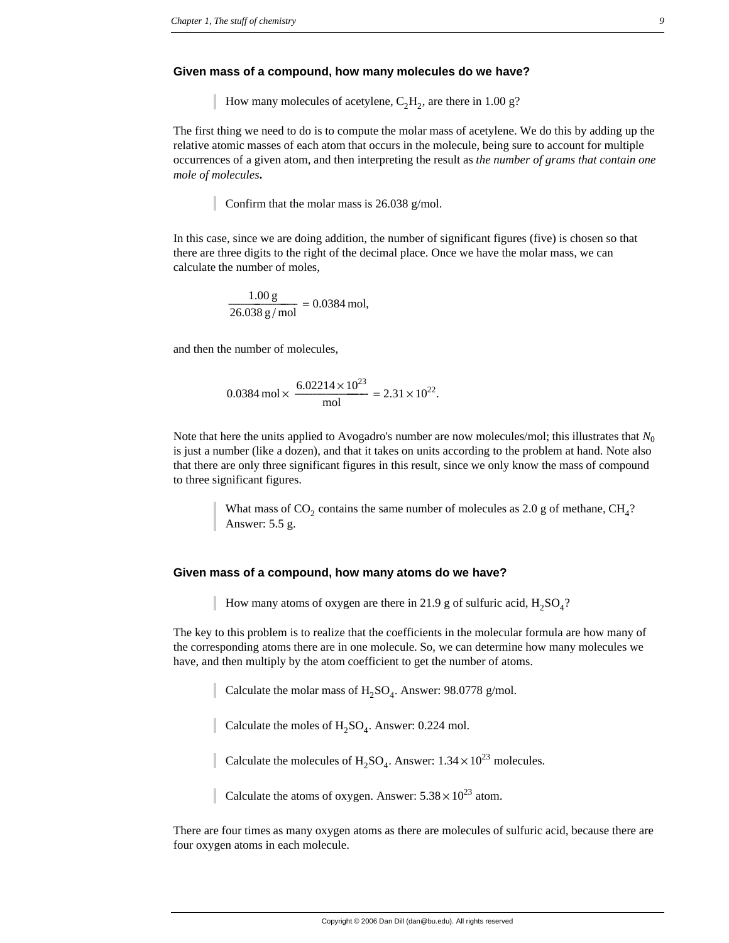#### **Given mass of a compound, how many molecules do we have?**

How many molecules of acetylene,  $C_2H_2$ , are there in 1.00 g?

The first thing we need to do is to compute the molar mass of acetylene. We do this by adding up the relative atomic masses of each atom that occurs in the molecule, being sure to account for multiple occurrences of a given atom, and then interpreting the result as *the number of grams that contain one mole of molecules***.**

Confirm that the molar mass is 26.038 g/mol.

In this case, since we are doing addition, the number of significant figures (five) is chosen so that there are three digits to the right of the decimal place. Once we have the molar mass, we can calculate the number of moles,

$$
\frac{1.00 \text{ g}}{26.038 \text{ g/mol}} = 0.0384 \text{ mol},
$$

and then the number of molecules,

 $0.0384 \text{ mol} \times \frac{6.02214 \times 10^{23}}{\text{mol}} = 2.31 \times 10^{22}.$ 

Note that here the units applied to Avogadro's number are now molecules/mol; this illustrates that *N*<sup>0</sup> is just a number (like a dozen), and that it takes on units according to the problem at hand. Note also that there are only three significant figures in this result, since we only know the mass of compound to three significant figures.

> What mass of  $CO_2$  contains the same number of molecules as 2.0 g of methane,  $CH_4$ ? Answer: 5.5 g.

## **Given mass of a compound, how many atoms do we have?**

How many atoms of oxygen are there in 21.9 g of sulfuric acid,  $H_2SO_4$ ?

The key to this problem is to realize that the coefficients in the molecular formula are how many of the corresponding atoms there are in one molecule. So, we can determine how many molecules we have, and then multiply by the atom coefficient to get the number of atoms.

Calculate the molar mass of  $H_2SO_4$ . Answer: 98.0778 g/mol.

Calculate the moles of  $H_2SO_4$ . Answer: 0.224 mol.

Calculate the molecules of  $H_2SO_4$ . Answer:  $1.34 \times 10^{23}$  molecules.

Calculate the atoms of oxygen. Answer:  $5.38 \times 10^{23}$  atom.

There are four times as many oxygen atoms as there are molecules of sulfuric acid, because there are four oxygen atoms in each molecule.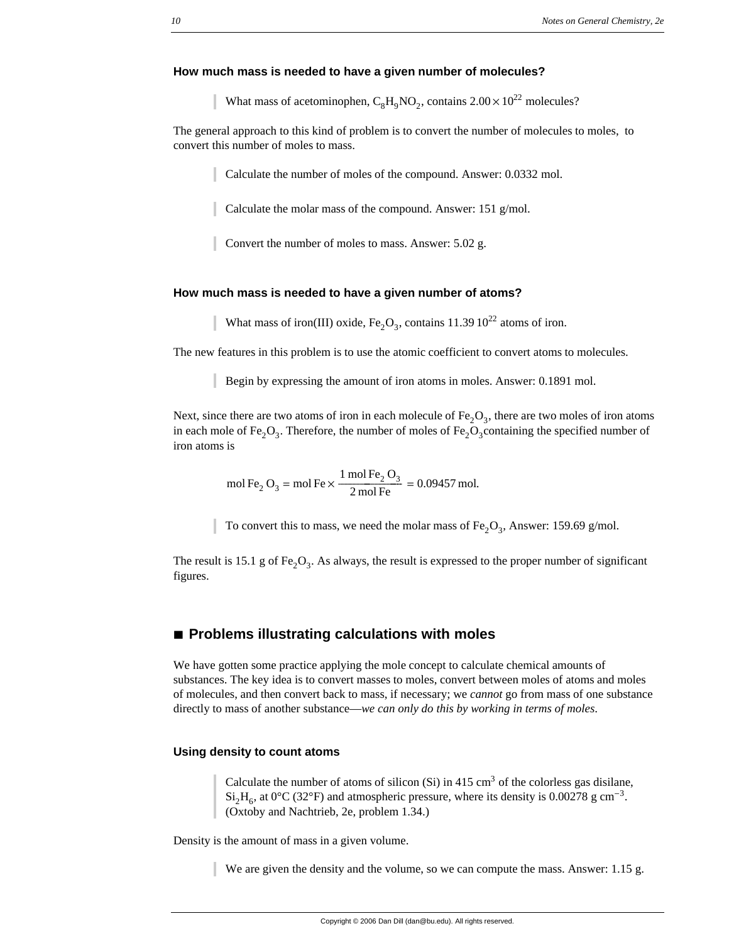## **How much mass is needed to have a given number of molecules?**

What mass of acetominophen,  $C_8H_0NO_2$ , contains  $2.00 \times 10^{22}$  molecules?

The general approach to this kind of problem is to convert the number of molecules to moles, to convert this number of moles to mass.

Calculate the number of moles of the compound. Answer: 0.0332 mol.

Calculate the molar mass of the compound. Answer: 151 g/mol.

Convert the number of moles to mass. Answer: 5.02 g.

## **How much mass is needed to have a given number of atoms?**

What mass of iron(III) oxide,  $Fe<sub>2</sub>O<sub>3</sub>$ , contains 11.39 10<sup>22</sup> atoms of iron.

The new features in this problem is to use the atomic coefficient to convert atoms to molecules.

Begin by expressing the amount of iron atoms in moles. Answer: 0.1891 mol.

Next, since there are two atoms of iron in each molecule of  $Fe<sub>2</sub>O<sub>3</sub>$ , there are two moles of iron atoms in each mole of Fe<sub>2</sub>O<sub>3</sub>. Therefore, the number of moles of Fe<sub>2</sub>O<sub>3</sub>containing the specified number of iron atoms is

mol Fe<sub>2</sub> O<sub>3</sub> = mol Fe  $\times \frac{1 \text{ mol Fe}_2 \text{O}_3}{2 \text{ mol Fe}}$  = 0.09457 mol.

To convert this to mass, we need the molar mass of  $Fe<sub>2</sub>O<sub>3</sub>$ , Answer: 159.69 g/mol.

The result is 15.1 g of Fe<sub>2</sub>O<sub>3</sub>. As always, the result is expressed to the proper number of significant figures.

# **à Problems illustrating calculations with moles**

We have gotten some practice applying the mole concept to calculate chemical amounts of substances. The key idea is to convert masses to moles, convert between moles of atoms and moles of molecules, and then convert back to mass, if necessary; we *cannot* go from mass of one substance directly to mass of another substance—*we can only do this by working in terms of moles*.

## **Using density to count atoms**

Calculate the number of atoms of silicon  $(S_i)$  in 415 cm<sup>3</sup> of the colorless gas disilane,  $Si<sub>2</sub>H<sub>6</sub>$ , at 0°C (32°F) and atmospheric pressure, where its density is 0.00278 g cm<sup>-3</sup>. (Oxtoby and Nachtrieb, 2e, problem 1.34.)

Density is the amount of mass in a given volume.

We are given the density and the volume, so we can compute the mass. Answer: 1.15 g.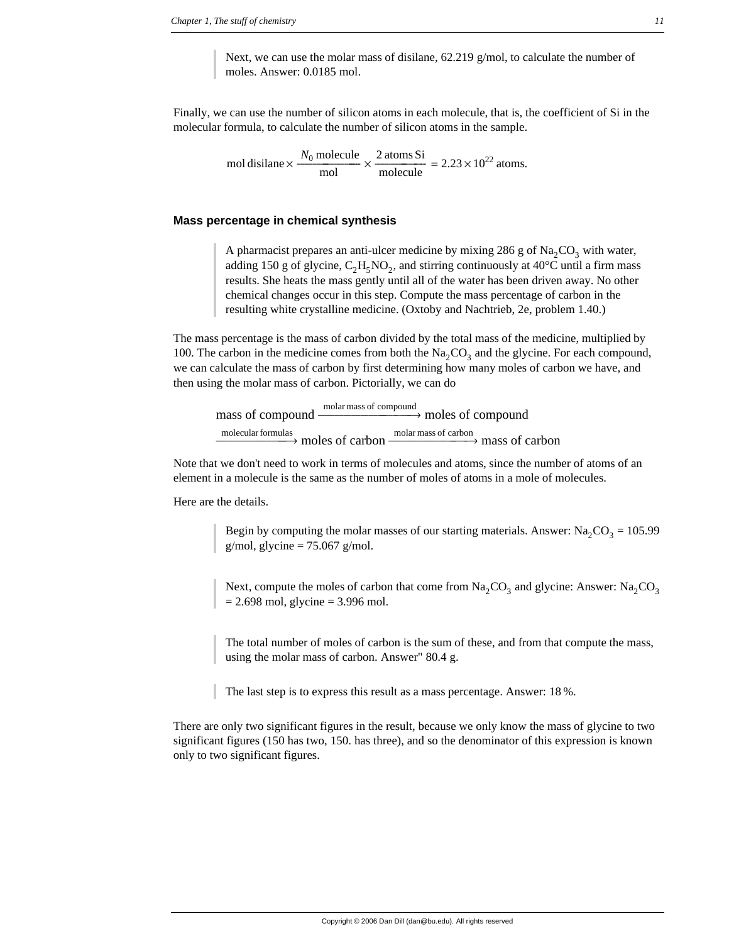Next, we can use the molar mass of disilane, 62.219 g/mol, to calculate the number of moles. Answer: 0.0185 mol.

Finally, we can use the number of silicon atoms in each molecule, that is, the coefficient of Si in the molecular formula, to calculate the number of silicon atoms in the sample.

mol disilane  $\times \frac{N_0 \text{ molecule}}{\text{mol}} \times \frac{2 \text{ atoms Si}}{\text{molecule}} = 2.23 \times 10^{22} \text{ atoms.}$ 

## **Mass percentage in chemical synthesis**

A pharmacist prepares an anti-ulcer medicine by mixing 286 g of  $\text{Na}_2\text{CO}_3$  with water, adding 150 g of glycine,  $C_2H_5NO_2$ , and stirring continuously at 40°C until a firm mass results. She heats the mass gently until all of the water has been driven away. No other chemical changes occur in this step. Compute the mass percentage of carbon in the resulting white crystalline medicine. (Oxtoby and Nachtrieb, 2e, problem 1.40.)

The mass percentage is the mass of carbon divided by the total mass of the medicine, multiplied by 100. The carbon in the medicine comes from both the  $Na_2CO_3$  and the glycine. For each compound, we can calculate the mass of carbon by first determining how many moles of carbon we have, and then using the molar mass of carbon. Pictorially, we can do

mass of compound molar mass of compound  $\rightarrow$  moles of compound <u>molecularformulas</u><br>——————→ moles of carbon molecular formulas moles of carbon <u>molar mass of carbon</u> mass of carbon

Note that we don't need to work in terms of molecules and atoms, since the number of atoms of an element in a molecule is the same as the number of moles of atoms in a mole of molecules.

Here are the details.

Begin by computing the molar masses of our starting materials. Answer:  $Na_2CO_3 = 105.99$ g/mol, glycine  $= 75.067$  g/mol.

Next, compute the moles of carbon that come from  $\text{Na}_2\text{CO}_3$  and glycine: Answer:  $\text{Na}_2\text{CO}_3$  $= 2.698$  mol, glycine  $= 3.996$  mol.

The total number of moles of carbon is the sum of these, and from that compute the mass, using the molar mass of carbon. Answer" 80.4 g.

The last step is to express this result as a mass percentage. Answer: 18 %.

There are only two significant figures in the result, because we only know the mass of glycine to two significant figures (150 has two, 150. has three), and so the denominator of this expression is known only to two significant figures.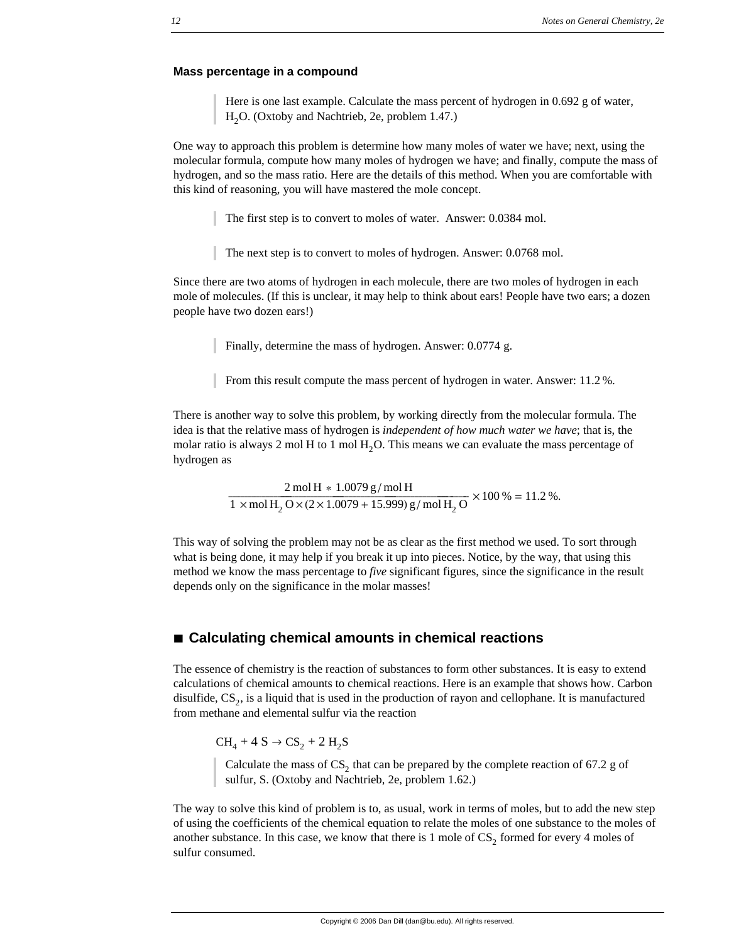#### **Mass percentage in a compound**

Here is one last example. Calculate the mass percent of hydrogen in 0.692 g of water, H<sub>2</sub>O. (Oxtoby and Nachtrieb, 2e, problem 1.47.)

One way to approach this problem is determine how many moles of water we have; next, using the molecular formula, compute how many moles of hydrogen we have; and finally, compute the mass of hydrogen, and so the mass ratio. Here are the details of this method. When you are comfortable with this kind of reasoning, you will have mastered the mole concept.

The first step is to convert to moles of water. Answer: 0.0384 mol.

The next step is to convert to moles of hydrogen. Answer: 0.0768 mol.

Since there are two atoms of hydrogen in each molecule, there are two moles of hydrogen in each mole of molecules. (If this is unclear, it may help to think about ears! People have two ears; a dozen people have two dozen ears!)

Finally, determine the mass of hydrogen. Answer: 0.0774 g.

From this result compute the mass percent of hydrogen in water. Answer: 11.2 %.

There is another way to solve this problem, by working directly from the molecular formula. The idea is that the relative mass of hydrogen is *independent of how much water we have*; that is, the molar ratio is always 2 mol H to 1 mol  $H<sub>2</sub>O$ . This means we can evaluate the mass percentage of hydrogen as

 $\frac{2 \text{ mol H} * 1.0079 \text{ g/mol H}}{1 \times \text{mol H}_2 \text{ O} \times (2 \times 1.0079 + 15.999) \text{ g/mol H}_2 \text{ O}} \times 100 \% = 11.2 \%$ .

This way of solving the problem may not be as clear as the first method we used. To sort through what is being done, it may help if you break it up into pieces. Notice, by the way, that using this method we know the mass percentage to *five* significant figures, since the significance in the result depends only on the significance in the molar masses!

# ■ Calculating chemical amounts in chemical reactions

The essence of chemistry is the reaction of substances to form other substances. It is easy to extend calculations of chemical amounts to chemical reactions. Here is an example that shows how. Carbon disulfide,  $CS_2$ , is a liquid that is used in the production of rayon and cellophane. It is manufactured from methane and elemental sulfur via the reaction

 $CH_4 + 4 S \rightarrow CS_2 + 2 H_2S$ 

Calculate the mass of  $CS_2$  that can be prepared by the complete reaction of 67.2 g of sulfur, S. (Oxtoby and Nachtrieb, 2e, problem 1.62.)

The way to solve this kind of problem is to, as usual, work in terms of moles, but to add the new step of using the coefficients of the chemical equation to relate the moles of one substance to the moles of another substance. In this case, we know that there is 1 mole of  $CS<sub>2</sub>$  formed for every 4 moles of sulfur consumed.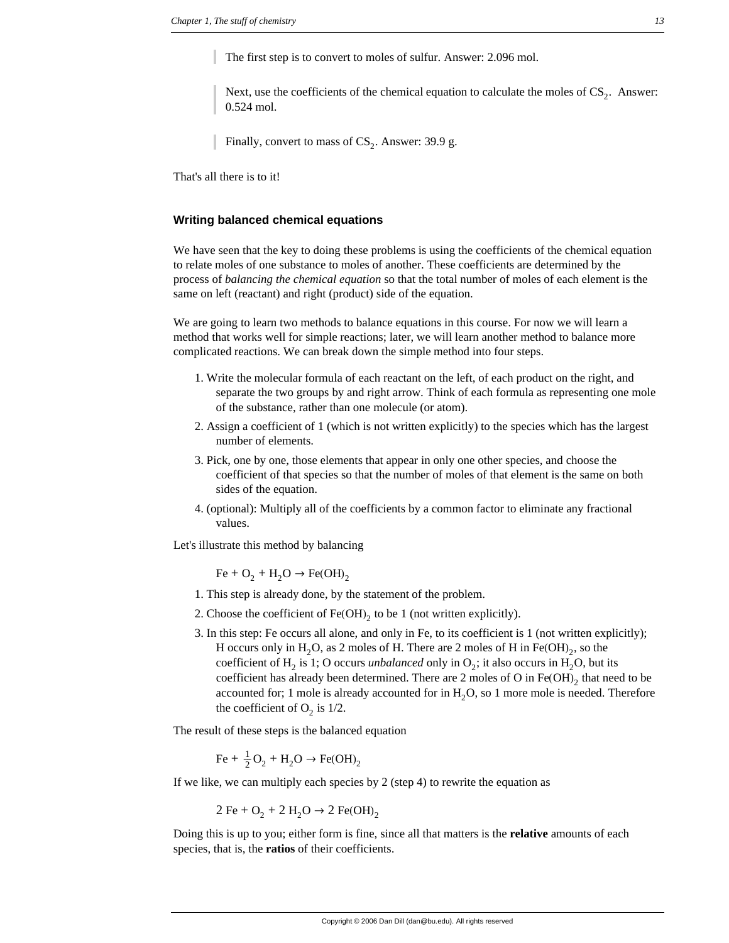The first step is to convert to moles of sulfur. Answer: 2.096 mol.

Next, use the coefficients of the chemical equation to calculate the moles of  $CS_2$ . Answer: 0.524 mol.

Finally, convert to mass of  $CS_2$ . Answer: 39.9 g.

That's all there is to it!

## **Writing balanced chemical equations**

We have seen that the key to doing these problems is using the coefficients of the chemical equation to relate moles of one substance to moles of another. These coefficients are determined by the process of *balancing the chemical equation* so that the total number of moles of each element is the same on left (reactant) and right (product) side of the equation.

We are going to learn two methods to balance equations in this course. For now we will learn a method that works well for simple reactions; later, we will learn another method to balance more complicated reactions. We can break down the simple method into four steps.

- 1. Write the molecular formula of each reactant on the left, of each product on the right, and separate the two groups by and right arrow. Think of each formula as representing one mole of the substance, rather than one molecule (or atom).
- 2. Assign a coefficient of 1 (which is not written explicitly) to the species which has the largest number of elements.
- 3. Pick, one by one, those elements that appear in only one other species, and choose the coefficient of that species so that the number of moles of that element is the same on both sides of the equation.
- 4. (optional): Multiply all of the coefficients by a common factor to eliminate any fractional values.

Let's illustrate this method by balancing

 $Fe + O_2 + H_2O \rightarrow Fe(OH)_2$ 

- 1. This step is already done, by the statement of the problem.
- 2. Choose the coefficient of  $Fe(OH)_2$  to be 1 (not written explicitly).
- 3. In this step: Fe occurs all alone, and only in Fe, to its coefficient is 1 (not written explicitly); H occurs only in  $H_2O$ , as 2 moles of H. There are 2 moles of H in Fe(OH)<sub>2</sub>, so the coefficient of H<sub>2</sub> is 1; O occurs *unbalanced* only in  $O_2$ ; it also occurs in H<sub>2</sub>O, but its coefficient has already been determined. There are 2 moles of O in  $Fe(OH)$ <sub>2</sub> that need to be accounted for; 1 mole is already accounted for in  $H<sub>2</sub>O$ , so 1 more mole is needed. Therefore the coefficient of  $O_2$  is  $1/2$ .

The result of these steps is the balanced equation

 $\text{Fe} + \frac{1}{2}\text{O}_2 + \text{H}_2\text{O} \rightarrow \text{Fe(OH)}_2$ 

If we like, we can multiply each species by 2 (step 4) to rewrite the equation as

$$
2 \text{Fe} + \text{O}_2 + 2 \text{H}_2\text{O} \rightarrow 2 \text{Fe(OH)}_2
$$

Doing this is up to you; either form is fine, since all that matters is the **relative** amounts of each species, that is, the **ratios** of their coefficients.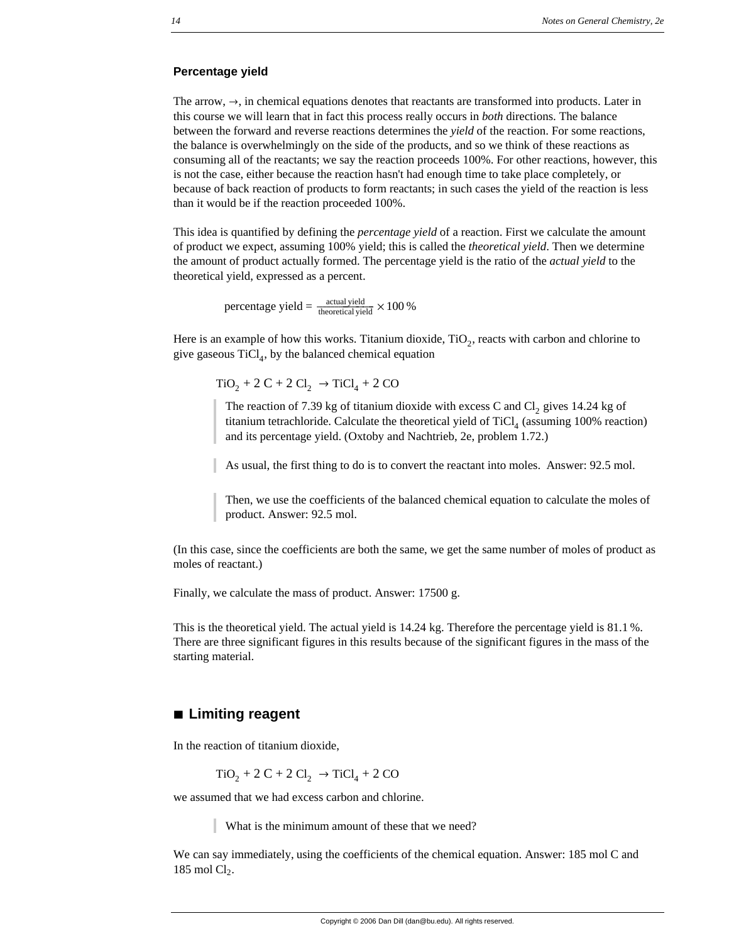## **Percentage yield**

The arrow,  $\rightarrow$ , in chemical equations denotes that reactants are transformed into products. Later in this course we will learn that in fact this process really occurs in *both* directions. The balance between the forward and reverse reactions determines the *yield* of the reaction. For some reactions, the balance is overwhelmingly on the side of the products, and so we think of these reactions as consuming all of the reactants; we say the reaction proceeds 100%. For other reactions, however, this is not the case, either because the reaction hasn't had enough time to take place completely, or because of back reaction of products to form reactants; in such cases the yield of the reaction is less than it would be if the reaction proceeded 100%.

This idea is quantified by defining the *percentage yield* of a reaction. First we calculate the amount of product we expect, assuming 100% yield; this is called the *theoretical yield*. Then we determine the amount of product actually formed. The percentage yield is the ratio of the *actual yield* to the theoretical yield, expressed as a percent.

percentage yield =  $\frac{\text{actual yield}}{\text{theoretical yield}} \times 100 \%$ 

Here is an example of how this works. Titanium dioxide,  $TiO<sub>2</sub>$ , reacts with carbon and chlorine to give gaseous  $TiCl<sub>4</sub>$ , by the balanced chemical equation

 $TiO<sub>2</sub> + 2 C + 2 Cl<sub>2</sub> \rightarrow TiCl<sub>4</sub> + 2 CO$ 

The reaction of 7.39 kg of titanium dioxide with excess C and Cl<sub>2</sub> gives 14.24 kg of titanium tetrachloride. Calculate the theoretical yield of TiCl<sub>4</sub> (assuming 100% reaction) and its percentage yield. (Oxtoby and Nachtrieb, 2e, problem 1.72.)

As usual, the first thing to do is to convert the reactant into moles. Answer: 92.5 mol.

Then, we use the coefficients of the balanced chemical equation to calculate the moles of product. Answer: 92.5 mol.

(In this case, since the coefficients are both the same, we get the same number of moles of product as moles of reactant.)

Finally, we calculate the mass of product. Answer: 17500 g.

This is the theoretical yield. The actual yield is 14.24 kg. Therefore the percentage yield is 81.1 %. There are three significant figures in this results because of the significant figures in the mass of the starting material.

# **à Limiting reagent**

In the reaction of titanium dioxide,

$$
TiO_2 + 2 C + 2 Cl_2 \rightarrow TiCl_4 + 2 CO
$$

we assumed that we had excess carbon and chlorine.

What is the minimum amount of these that we need?

We can say immediately, using the coefficients of the chemical equation. Answer: 185 mol C and 185 mol  $Cl<sub>2</sub>$ .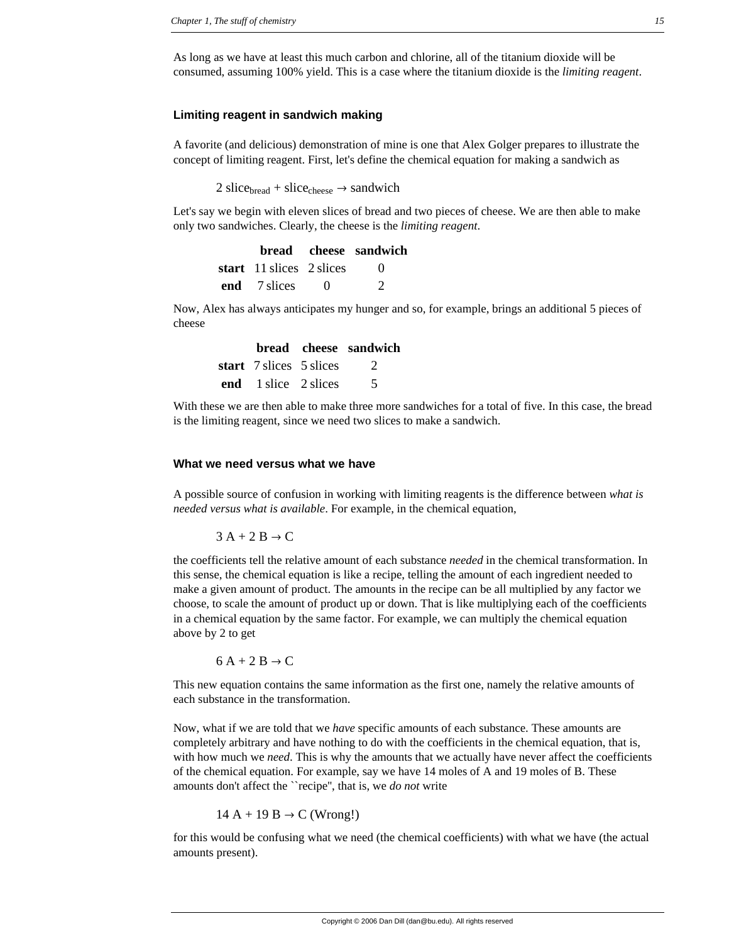As long as we have at least this much carbon and chlorine, all of the titanium dioxide will be consumed, assuming 100% yield. This is a case where the titanium dioxide is the *limiting reagent*.

## **Limiting reagent in sandwich making**

A favorite (and delicious) demonstration of mine is one that Alex Golger prepares to illustrate the concept of limiting reagent. First, let's define the chemical equation for making a sandwich as

2 slice<sub>bread</sub> + slice<sub>cheese</sub>  $\rightarrow$  sandwich

Let's say we begin with eleven slices of bread and two pieces of cheese. We are then able to make only two sandwiches. Clearly, the cheese is the *limiting reagent*.

|                          |          | <b>bread</b> cheese sandwich |
|--------------------------|----------|------------------------------|
| start 11 slices 2 slices |          | $\theta$                     |
| end 7 slices             | $\theta$ | $\mathcal{D}$                |

Now, Alex has always anticipates my hunger and so, for example, brings an additional 5 pieces of cheese

|                           | <b>bread</b> cheese sandwich |
|---------------------------|------------------------------|
| start 7 slices 5 slices 2 |                              |
| end 1 slice 2 slices      |                              |

With these we are then able to make three more sandwiches for a total of five. In this case, the bread is the limiting reagent, since we need two slices to make a sandwich.

# **What we need versus what we have**

A possible source of confusion in working with limiting reagents is the difference between *what is needed versus what is available*. For example, in the chemical equation,

 $3 A + 2 B \rightarrow C$ 

the coefficients tell the relative amount of each substance *needed* in the chemical transformation. In this sense, the chemical equation is like a recipe, telling the amount of each ingredient needed to make a given amount of product. The amounts in the recipe can be all multiplied by any factor we choose, to scale the amount of product up or down. That is like multiplying each of the coefficients in a chemical equation by the same factor. For example, we can multiply the chemical equation above by 2 to get

 $6 A + 2 B \rightarrow C$ 

This new equation contains the same information as the first one, namely the relative amounts of each substance in the transformation.

Now, what if we are told that we *have* specific amounts of each substance. These amounts are completely arbitrary and have nothing to do with the coefficients in the chemical equation, that is, with how much we *need*. This is why the amounts that we actually have never affect the coefficients of the chemical equation. For example, say we have 14 moles of A and 19 moles of B. These amounts don't affect the ``recipe'', that is, we *do not* write

$$
14 A + 19 B \rightarrow C \text{ (Wrong!)}
$$

for this would be confusing what we need (the chemical coefficients) with what we have (the actual amounts present).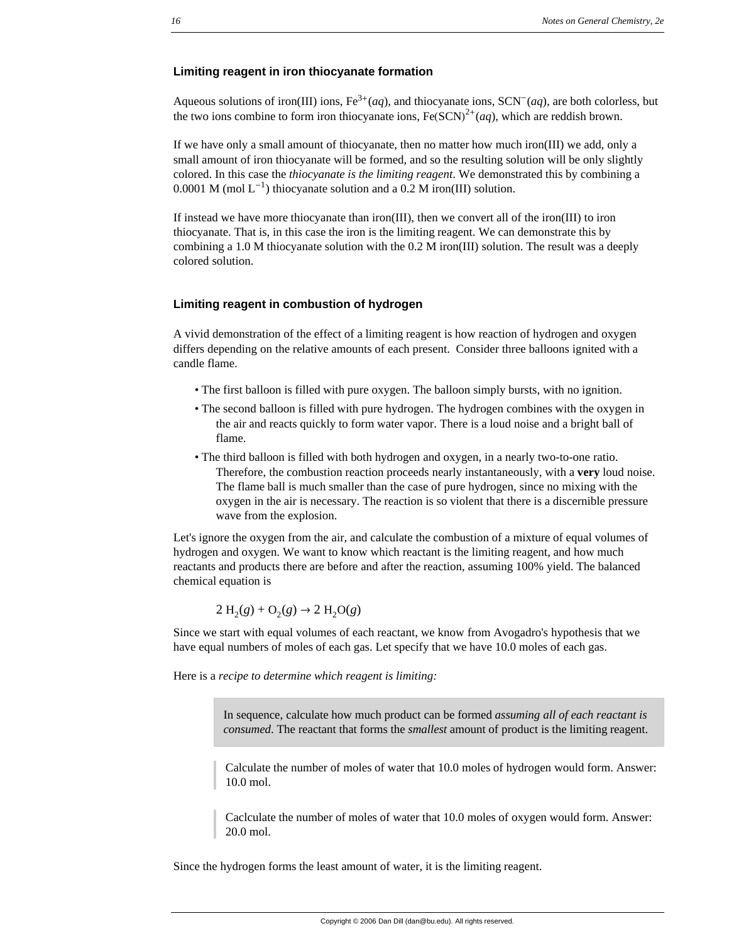### **Limiting reagent in iron thiocyanate formation**

Aqueous solutions of iron(III) ions,  $Fe^{3+}(aq)$ , and thiocyanate ions,  $SCN^{-}(aq)$ , are both colorless, but the two ions combine to form iron thiocyanate ions,  $Fe(SCN)^{2+}(aq)$ , which are reddish brown.

If we have only a small amount of thiocyanate, then no matter how much iron(III) we add, only a small amount of iron thiocyanate will be formed, and so the resulting solution will be only slightly colored. In this case the *thiocyanate is the limiting reagent*. We demonstrated this by combining a 0.0001 M (mol  $L^{-1}$ ) thiocyanate solution and a 0.2 M iron(III) solution.

If instead we have more thiocyanate than iron(III), then we convert all of the iron(III) to iron thiocyanate. That is, in this case the iron is the limiting reagent. We can demonstrate this by combining a 1.0 M thiocyanate solution with the 0.2 M iron(III) solution. The result was a deeply colored solution.

#### **Limiting reagent in combustion of hydrogen**

A vivid demonstration of the effect of a limiting reagent is how reaction of hydrogen and oxygen differs depending on the relative amounts of each present. Consider three balloons ignited with a candle flame.

- The first balloon is filled with pure oxygen. The balloon simply bursts, with no ignition.
- The second balloon is filled with pure hydrogen. The hydrogen combines with the oxygen in the air and reacts quickly to form water vapor. There is a loud noise and a bright ball of flame.
- The third balloon is filled with both hydrogen and oxygen, in a nearly two-to-one ratio. Therefore, the combustion reaction proceeds nearly instantaneously, with a **very** loud noise. The flame ball is much smaller than the case of pure hydrogen, since no mixing with the oxygen in the air is necessary. The reaction is so violent that there is a discernible pressure wave from the explosion.

Let's ignore the oxygen from the air, and calculate the combustion of a mixture of equal volumes of hydrogen and oxygen. We want to know which reactant is the limiting reagent, and how much reactants and products there are before and after the reaction, assuming 100% yield. The balanced chemical equation is

$$
2 H2(g) + O2(g) \rightarrow 2 H2O(g)
$$

Since we start with equal volumes of each reactant, we know from Avogadro's hypothesis that we have equal numbers of moles of each gas. Let specify that we have 10.0 moles of each gas.

Here is a *recipe to determine which reagent is limiting:*

In sequence, calculate how much product can be formed *assuming all of each reactant is consumed*. The reactant that forms the *smallest* amount of product is the limiting reagent.

Calculate the number of moles of water that 10.0 moles of hydrogen would form. Answer: 10.0 mol.

Caclculate the number of moles of water that 10.0 moles of oxygen would form. Answer: 20.0 mol.

Since the hydrogen forms the least amount of water, it is the limiting reagent.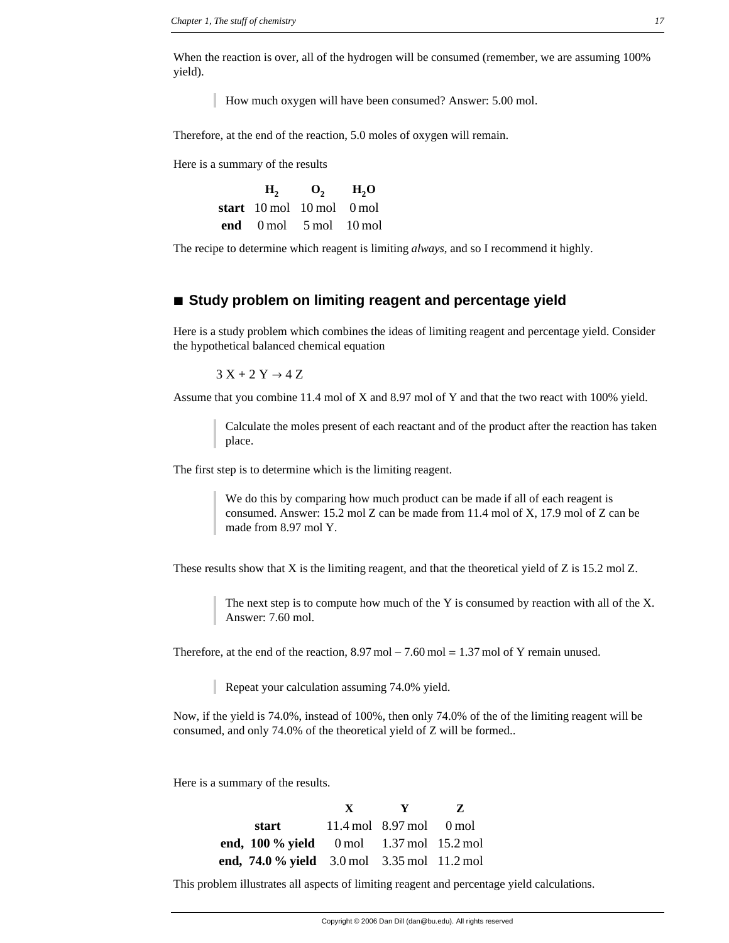When the reaction is over, all of the hydrogen will be consumed (remember, we are assuming 100% yield).

How much oxygen will have been consumed? Answer: 5.00 mol.

Therefore, at the end of the reaction, 5.0 moles of oxygen will remain.

Here is a summary of the results

| H <sub>2</sub>                                          | $\mathbf{O}_{2}$ | H, O |
|---------------------------------------------------------|------------------|------|
| start $10 \text{ mol}$ $10 \text{ mol}$ $0 \text{ mol}$ |                  |      |
| end $0 \text{ mol}$ $5 \text{ mol}$ $10 \text{ mol}$    |                  |      |

The recipe to determine which reagent is limiting *always*, and so I recommend it highly.

# **à Study problem on limiting reagent and percentage yield**

Here is a study problem which combines the ideas of limiting reagent and percentage yield. Consider the hypothetical balanced chemical equation

 $3 X + 2 Y \rightarrow 4 Z$ 

Assume that you combine 11.4 mol of X and 8.97 mol of Y and that the two react with 100% yield.

Calculate the moles present of each reactant and of the product after the reaction has taken place.

The first step is to determine which is the limiting reagent.

We do this by comparing how much product can be made if all of each reagent is consumed. Answer: 15.2 mol Z can be made from 11.4 mol of X, 17.9 mol of Z can be made from 8.97 mol Y.

These results show that X is the limiting reagent, and that the theoretical yield of Z is 15.2 mol Z.

The next step is to compute how much of the Y is consumed by reaction with all of the X. Answer: 7.60 mol.

Therefore, at the end of the reaction,  $8.97 \text{ mol} - 7.60 \text{ mol} = 1.37 \text{ mol of Y remain unused.}$ 

Repeat your calculation assuming 74.0% yield.

Now, if the yield is 74.0%, instead of 100%, then only 74.0% of the of the limiting reagent will be consumed, and only 74.0% of the theoretical yield of Z will be formed..

Here is a summary of the results.

|                                                                   | X |                                      | Z |
|-------------------------------------------------------------------|---|--------------------------------------|---|
| start                                                             |   | $11.4 \,\mathrm{mol}$ 8.97 mol 0 mol |   |
| end, $100\%$ yield 0 mol 1.37 mol 15.2 mol                        |   |                                      |   |
| end, $74.0\%$ yield $3.0 \text{ mol}$ $3.35 \text{ mol}$ 11.2 mol |   |                                      |   |

This problem illustrates all aspects of limiting reagent and percentage yield calculations.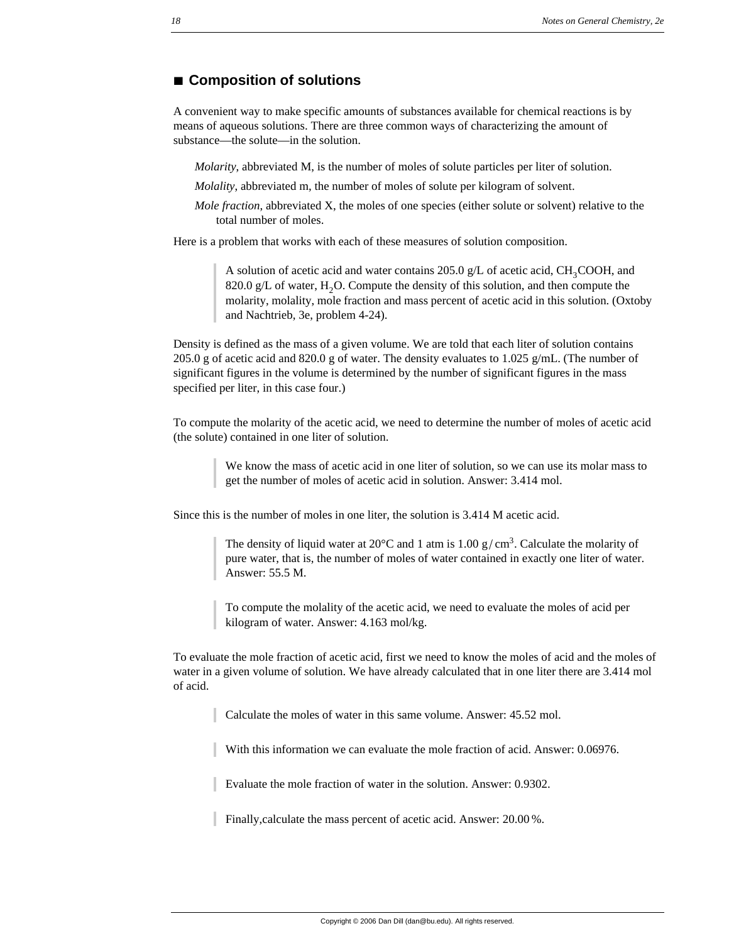# **à Composition of solutions**

A convenient way to make specific amounts of substances available for chemical reactions is by means of aqueous solutions. There are three common ways of characterizing the amount of substance—the solute—in the solution.

*Molarity*, abbreviated M, is the number of moles of solute particles per liter of solution.

*Molality*, abbreviated m, the number of moles of solute per kilogram of solvent.

*Mole fraction*, abbreviated X, the moles of one species (either solute or solvent) relative to the total number of moles.

Here is a problem that works with each of these measures of solution composition.

A solution of acetic acid and water contains 205.0 g/L of acetic acid,  $CH_3COOH$ , and 820.0 g/L of water,  $H_2O$ . Compute the density of this solution, and then compute the molarity, molality, mole fraction and mass percent of acetic acid in this solution. (Oxtoby and Nachtrieb, 3e, problem 4-24).

Density is defined as the mass of a given volume. We are told that each liter of solution contains 205.0 g of acetic acid and 820.0 g of water. The density evaluates to 1.025 g/mL. (The number of significant figures in the volume is determined by the number of significant figures in the mass specified per liter, in this case four.)

To compute the molarity of the acetic acid, we need to determine the number of moles of acetic acid (the solute) contained in one liter of solution.

> We know the mass of acetic acid in one liter of solution, so we can use its molar mass to get the number of moles of acetic acid in solution. Answer: 3.414 mol.

Since this is the number of moles in one liter, the solution is 3.414 M acetic acid.

The density of liquid water at 20 $\degree$ C and 1 atm is 1.00 g/cm<sup>3</sup>. Calculate the molarity of pure water, that is, the number of moles of water contained in exactly one liter of water. Answer: 55.5 M.

To compute the molality of the acetic acid, we need to evaluate the moles of acid per kilogram of water. Answer: 4.163 mol/kg.

To evaluate the mole fraction of acetic acid, first we need to know the moles of acid and the moles of water in a given volume of solution. We have already calculated that in one liter there are 3.414 mol of acid.

Calculate the moles of water in this same volume. Answer: 45.52 mol.

With this information we can evaluate the mole fraction of acid. Answer: 0.06976.

Evaluate the mole fraction of water in the solution. Answer: 0.9302.

Finally,calculate the mass percent of acetic acid. Answer: 20.00 %.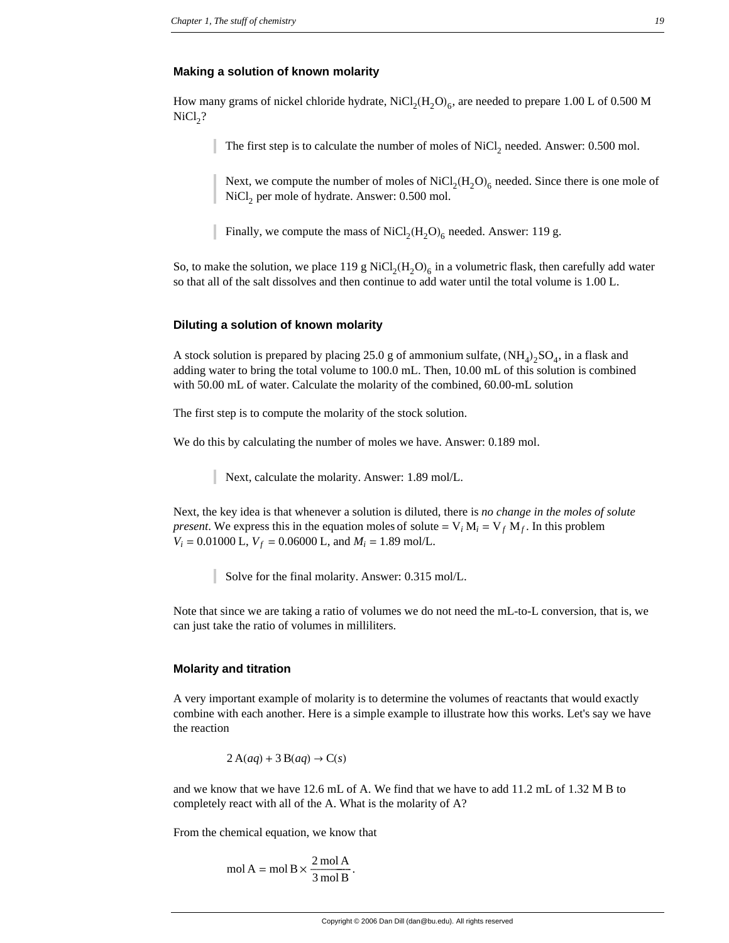#### **Making a solution of known molarity**

How many grams of nickel chloride hydrate,  $\text{NiCl}_2(\text{H}_2\text{O})_6$ , are needed to prepare 1.00 L of 0.500 M  $NiCl<sub>2</sub>?$ 

The first step is to calculate the number of moles of NiCl<sub>2</sub> needed. Answer: 0.500 mol.

Next, we compute the number of moles of  $\text{NiCl}_2(\text{H}_2\text{O})_6$  needed. Since there is one mole of NiCl<sub>2</sub> per mole of hydrate. Answer: 0.500 mol.

Finally, we compute the mass of  $\text{NiCl}_2(\text{H}_2\text{O})_6$  needed. Answer: 119 g.

So, to make the solution, we place 119 g  $NiCl<sub>2</sub>(H<sub>2</sub>O)<sub>6</sub>$  in a volumetric flask, then carefully add water so that all of the salt dissolves and then continue to add water until the total volume is 1.00 L.

#### **Diluting a solution of known molarity**

A stock solution is prepared by placing 25.0 g of ammonium sulfate,  $(NH_4)_2SO_4$ , in a flask and adding water to bring the total volume to 100.0 mL. Then, 10.00 mL of this solution is combined with 50.00 mL of water. Calculate the molarity of the combined, 60.00-mL solution

The first step is to compute the molarity of the stock solution.

We do this by calculating the number of moles we have. Answer: 0.189 mol.

Next, calculate the molarity. Answer: 1.89 mol/L.

Next, the key idea is that whenever a solution is diluted, there is *no change in the moles of solute present*. We express this in the equation moles of solute =  $V_i M_i = V_f M_f$ . In this problem  $V_i = 0.01000$  L,  $V_f = 0.06000$  L, and  $M_i = 1.89$  mol/L.

Solve for the final molarity. Answer: 0.315 mol/L.

Note that since we are taking a ratio of volumes we do not need the mL-to-L conversion, that is, we can just take the ratio of volumes in milliliters.

#### **Molarity and titration**

A very important example of molarity is to determine the volumes of reactants that would exactly combine with each another. Here is a simple example to illustrate how this works. Let's say we have the reaction

 $2 \text{ A}(aq) + 3 \text{ B}(aq) \rightarrow \text{C}(s)$ 

and we know that we have 12.6 mL of A. We find that we have to add 11.2 mL of 1.32 M B to completely react with all of the A. What is the molarity of A?

From the chemical equation, we know that

$$
mol A = mol B \times \frac{2 \text{ mol A}}{3 \text{ mol B}}.
$$